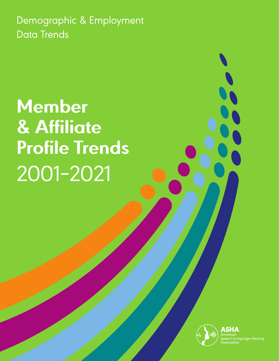Demographic & Employment **Data Trends** 

**Member** & Affiliate **Profile Trends** 2001-2021



h-Language-Hearing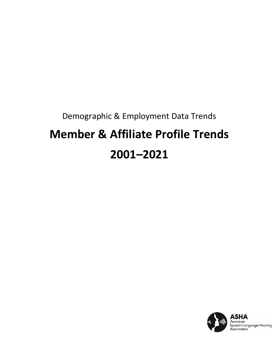# Demographic & Employment Data Trends **Member & Affiliate Profile Trends 2001–2021**

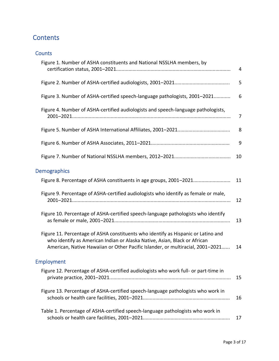# **Contents**

| Figure 1. Number of ASHA constituents and National NSSLHA members, by                                                                                                                                                                            | 4  |
|--------------------------------------------------------------------------------------------------------------------------------------------------------------------------------------------------------------------------------------------------|----|
|                                                                                                                                                                                                                                                  | 5  |
| Figure 3. Number of ASHA-certified speech-language pathologists, 2001-2021                                                                                                                                                                       | 6  |
| Figure 4. Number of ASHA-certified audiologists and speech-language pathologists,                                                                                                                                                                | 7  |
|                                                                                                                                                                                                                                                  | 8  |
|                                                                                                                                                                                                                                                  | 9  |
|                                                                                                                                                                                                                                                  | 10 |
| <b>Demographics</b>                                                                                                                                                                                                                              |    |
| Figure 8. Percentage of ASHA constituents in age groups, 2001-2021                                                                                                                                                                               | 11 |
| Figure 9. Percentage of ASHA-certified audiologists who identify as female or male,                                                                                                                                                              | 12 |
| Figure 10. Percentage of ASHA-certified speech-language pathologists who identify                                                                                                                                                                | 13 |
| Figure 11. Percentage of ASHA constituents who identify as Hispanic or Latino and<br>who identify as American Indian or Alaska Native, Asian, Black or African<br>American, Native Hawaiian or Other Pacific Islander, or multiracial, 2001-2021 | 14 |
| <b>Employment</b>                                                                                                                                                                                                                                |    |
| Figure 12. Percentage of ASHA-certified audiologists who work full- or part-time in                                                                                                                                                              | 15 |
| Figure 13. Percentage of ASHA-certified speech-language pathologists who work in                                                                                                                                                                 | 16 |
| Table 1. Percentage of ASHA-certified speech-language pathologists who work in                                                                                                                                                                   | 17 |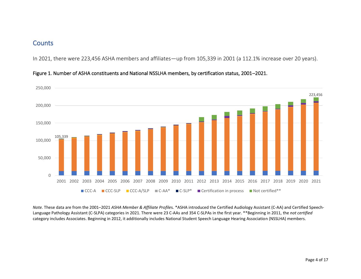In 2021, there were 223,456 ASHA members and affiliates—up from 105,339 in 2001 (a 112.1% increase over 20 years).



Figure 1. Number of ASHA constituents and National NSSLHA members, by certification status, 2001–2021.

*Note.* These data are from the 2001–2021 *ASHA Member & Affiliate Profile*s*.* \*ASHA introduced the Certified Audiology Assistant (C-AA) and Certified Speech-Language Pathology Assistant (C-SLPA) categories in 2021. There were 23 C-AAs and 354 C-SLPAs in the first year. \*\*Beginning in 2011, the *not certified* category includes Associates. Beginning in 2012, it additionally includes National Student Speech Language Hearing Association (NSSLHA) members.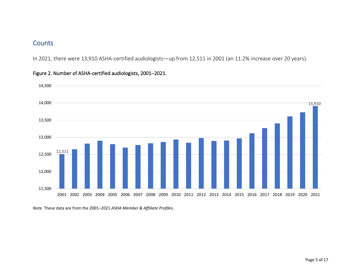In 2021, there were 13,910 ASHA-certified audiologists—up from 12,511 in 2001 (an 11.2% increase over 20 years).



#### Figure 2. Number of ASHA-certified audiologists, 2001–2021.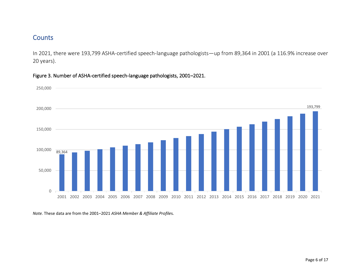In 2021, there were 193,799 ASHA-certified speech-language pathologists—up from 89,364 in 2001 (a 116.9% increase over 20 years).



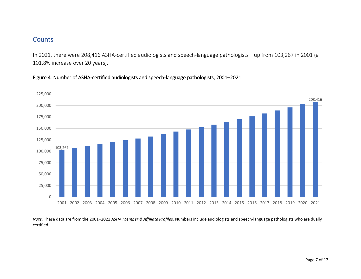In 2021, there were 208,416 ASHA-certified audiologists and speech-language pathologists—up from 103,267 in 2001 (a 101.8% increase over 20 years).

Figure 4. Number of ASHA-certified audiologists and speech-language pathologists, 2001–2021.



*Note.* These data are from the 2001–2021 *ASHA Member & Affiliate Profile*s*.* Numbers include audiologists and speech-language pathologists who are dually certified.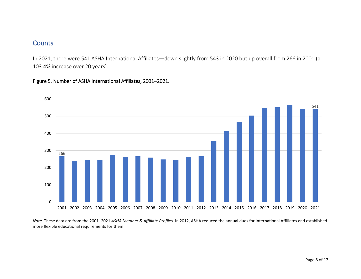In 2021, there were 541 ASHA International Affiliates—down slightly from 543 in 2020 but up overall from 266 in 2001 (a 103.4% increase over 20 years).

#### Figure 5. Number of ASHA International Affiliates, 2001–2021.



*Note.* These data are from the 2001–2021 *ASHA Member & Affiliate Profiles.* In 2012, ASHA reduced the annual dues for International Affiliates and established more flexible educational requirements for them.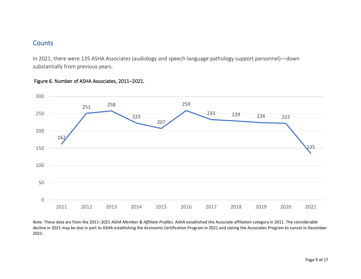In 2021, there were 135 ASHA Associates (audiology and speech-language pathology support personnel)—down substantially from previous years.



#### Figure 6. Number of ASHA Associates, 2011–2021.

*Note.* These data are from the 2011–2021 *ASHA Member & Affiliate Profile*s*.* ASHA established the Associate affiliation category in 2011. The considerable decline in 2021 may be due in part to ASHA establishing the Assistants Certification Program in 2021 and slating the Associates Program to sunset in December 2022.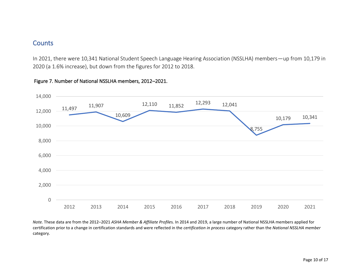In 2021, there were 10,341 National Student Speech Language Hearing Association (NSSLHA) members—up from 10,179 in 2020 (a 1.6% increase), but down from the figures for 2012 to 2018.



#### Figure 7. Number of National NSSLHA members, 2012–2021.

*Note.* These data are from the 2012–2021 *ASHA Member & Affiliate Profile*s*.* In 2014 and 2019, a large number of National NSSLHA members applied for certification prior to a change in certification standards and were reflected in the *certification in process* category rather than the *National NSSLHA member* category.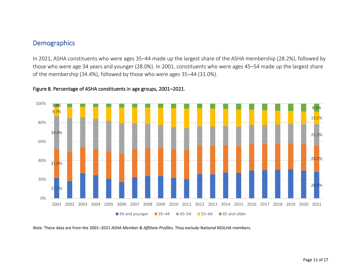In 2021, ASHA constituents who were ages 35–44 made up the largest share of the ASHA membership (28.2%), followed by those who were age 34 years and younger (28.0%). In 2001, constituents who were ages 45–54 made up the largest share of the membership (34.4%), followed by those who were ages 35–44 (31.0%).



#### Figure 8. Percentage of ASHA constituents in age groups, 2001–2021.

*Note.* These data are from the 2001–2021 *ASHA Member & Affiliate Profile*s*.* They exclude National NSSLHA members.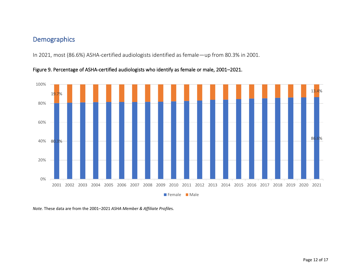In 2021, most (86.6%) ASHA-certified audiologists identified as female—up from 80.3% in 2001.



Figure 9. Percentage of ASHA-certified audiologists who identify as female or male, 2001–2021.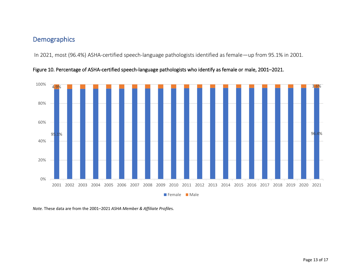In 2021, most (96.4%) ASHA-certified speech-language pathologists identified as female—up from 95.1% in 2001.



Figure 10. Percentage of ASHA-certified speech-language pathologists who identify as female or male, 2001–2021.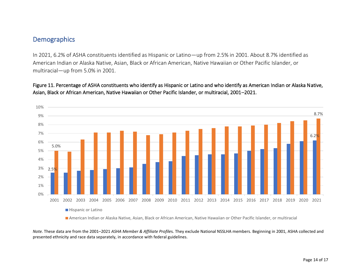In 2021, 6.2% of ASHA constituents identified as Hispanic or Latino—up from 2.5% in 2001. About 8.7% identified as American Indian or Alaska Native, Asian, Black or African American, Native Hawaiian or Other Pacific Islander, or multiracial—up from 5.0% in 2001.





American Indian or Alaska Native, Asian, Black or African American, Native Hawaiian or Other Pacific Islander, or multiracial

*Note.* These data are from the 2001–2021 *ASHA Member & Affiliate Profile*s*.* They exclude National NSSLHA members. Beginning in 2001, ASHA collected and presented ethnicity and race data separately, in accordance with federal guidelines.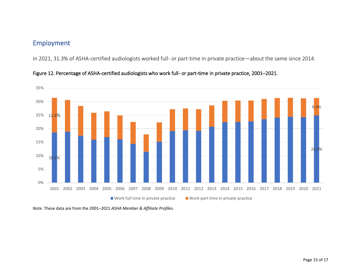# Employment

In 2021, 31.3% of ASHA-certified audiologists worked full- or part-time in private practice—about the same since 2014.



Figure 12. Percentage of ASHA-certified audiologists who work full- or part-time in private practice, 2001–2021.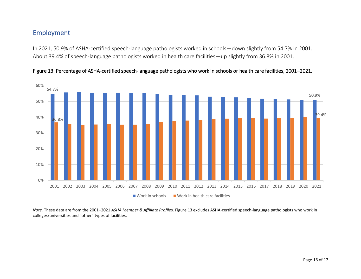## Employment

In 2021, 50.9% of ASHA-certified speech-language pathologists worked in schools—down slightly from 54.7% in 2001. About 39.4% of speech-language pathologists worked in health care facilities—up slightly from 36.8% in 2001.





*Note.* These data are from the 2001–2021 *ASHA Member & Affiliate Profile*s*.* Figure 13 excludes ASHA-certified speech-language pathologists who work in colleges/universities and "other" types of facilities.